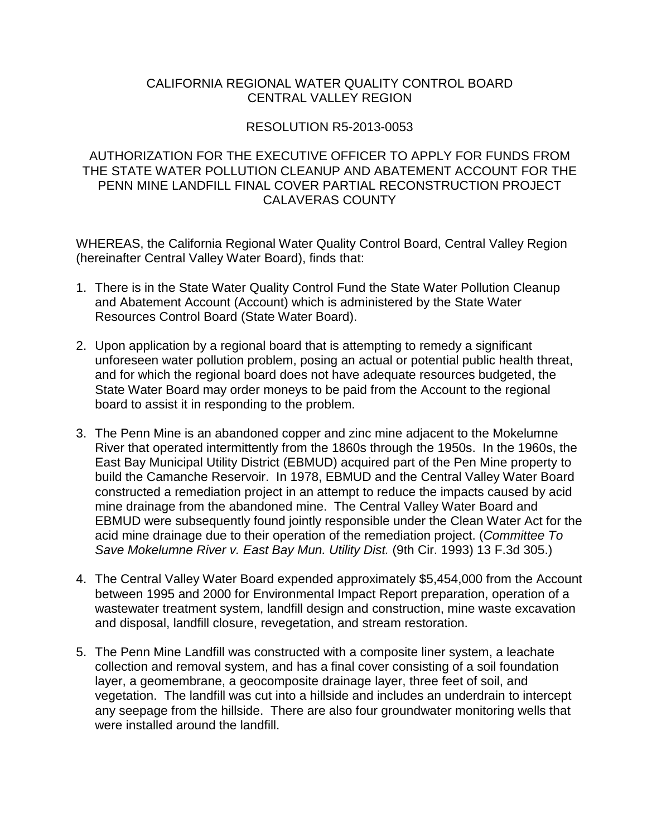## CALIFORNIA REGIONAL WATER QUALITY CONTROL BOARD CENTRAL VALLEY REGION

## RESOLUTION R5-2013-0053

## AUTHORIZATION FOR THE EXECUTIVE OFFICER TO APPLY FOR FUNDS FROM THE STATE WATER POLLUTION CLEANUP AND ABATEMENT ACCOUNT FOR THE PENN MINE LANDFILL FINAL COVER PARTIAL RECONSTRUCTION PROJECT CALAVERAS COUNTY

WHEREAS, the California Regional Water Quality Control Board, Central Valley Region (hereinafter Central Valley Water Board), finds that:

- 1. There is in the State Water Quality Control Fund the State Water Pollution Cleanup and Abatement Account (Account) which is administered by the State Water Resources Control Board (State Water Board).
- 2. Upon application by a regional board that is attempting to remedy a significant unforeseen water pollution problem, posing an actual or potential public health threat, and for which the regional board does not have adequate resources budgeted, the State Water Board may order moneys to be paid from the Account to the regional board to assist it in responding to the problem.
- 3. The Penn Mine is an abandoned copper and zinc mine adjacent to the Mokelumne River that operated intermittently from the 1860s through the 1950s. In the 1960s, the East Bay Municipal Utility District (EBMUD) acquired part of the Pen Mine property to build the Camanche Reservoir. In 1978, EBMUD and the Central Valley Water Board constructed a remediation project in an attempt to reduce the impacts caused by acid mine drainage from the abandoned mine. The Central Valley Water Board and EBMUD were subsequently found jointly responsible under the Clean Water Act for the acid mine drainage due to their operation of the remediation project. (*Committee To Save Mokelumne River v. East Bay Mun. Utility Dist.* (9th Cir. 1993) 13 F.3d 305.)
- 4. The Central Valley Water Board expended approximately \$5,454,000 from the Account between 1995 and 2000 for Environmental Impact Report preparation, operation of a wastewater treatment system, landfill design and construction, mine waste excavation and disposal, landfill closure, revegetation, and stream restoration.
- 5. The Penn Mine Landfill was constructed with a composite liner system, a leachate collection and removal system, and has a final cover consisting of a soil foundation layer, a geomembrane, a geocomposite drainage layer, three feet of soil, and vegetation. The landfill was cut into a hillside and includes an underdrain to intercept any seepage from the hillside. There are also four groundwater monitoring wells that were installed around the landfill.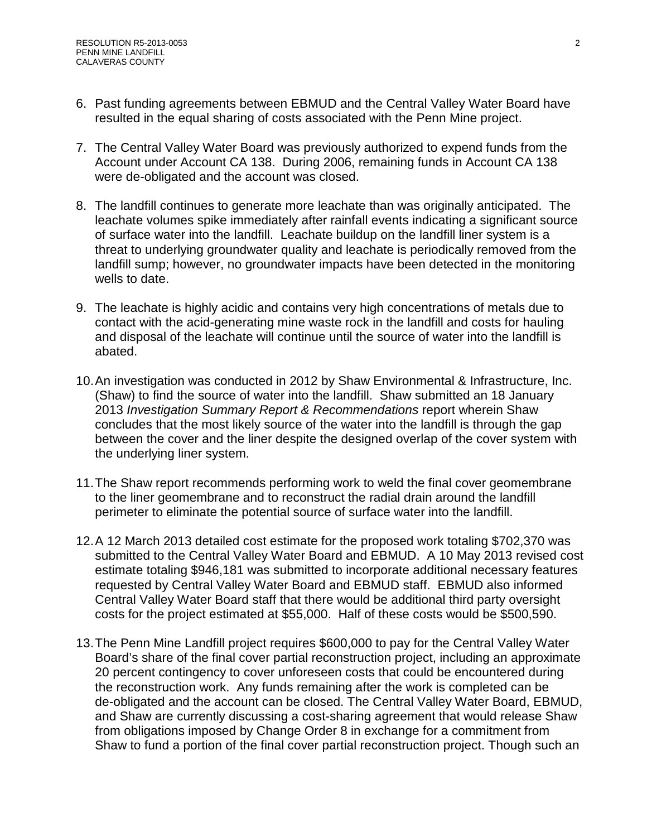- 6. Past funding agreements between EBMUD and the Central Valley Water Board have resulted in the equal sharing of costs associated with the Penn Mine project.
- 7. The Central Valley Water Board was previously authorized to expend funds from the Account under Account CA 138. During 2006, remaining funds in Account CA 138 were de-obligated and the account was closed.
- 8. The landfill continues to generate more leachate than was originally anticipated. The leachate volumes spike immediately after rainfall events indicating a significant source of surface water into the landfill. Leachate buildup on the landfill liner system is a threat to underlying groundwater quality and leachate is periodically removed from the landfill sump; however, no groundwater impacts have been detected in the monitoring wells to date.
- 9. The leachate is highly acidic and contains very high concentrations of metals due to contact with the acid-generating mine waste rock in the landfill and costs for hauling and disposal of the leachate will continue until the source of water into the landfill is abated.
- 10.An investigation was conducted in 2012 by Shaw Environmental & Infrastructure, Inc. (Shaw) to find the source of water into the landfill. Shaw submitted an 18 January 2013 *Investigation Summary Report & Recommendations* report wherein Shaw concludes that the most likely source of the water into the landfill is through the gap between the cover and the liner despite the designed overlap of the cover system with the underlying liner system.
- 11.The Shaw report recommends performing work to weld the final cover geomembrane to the liner geomembrane and to reconstruct the radial drain around the landfill perimeter to eliminate the potential source of surface water into the landfill.
- 12.A 12 March 2013 detailed cost estimate for the proposed work totaling \$702,370 was submitted to the Central Valley Water Board and EBMUD. A 10 May 2013 revised cost estimate totaling \$946,181 was submitted to incorporate additional necessary features requested by Central Valley Water Board and EBMUD staff. EBMUD also informed Central Valley Water Board staff that there would be additional third party oversight costs for the project estimated at \$55,000. Half of these costs would be \$500,590.
- 13.The Penn Mine Landfill project requires \$600,000 to pay for the Central Valley Water Board's share of the final cover partial reconstruction project, including an approximate 20 percent contingency to cover unforeseen costs that could be encountered during the reconstruction work. Any funds remaining after the work is completed can be de-obligated and the account can be closed. The Central Valley Water Board, EBMUD, and Shaw are currently discussing a cost-sharing agreement that would release Shaw from obligations imposed by Change Order 8 in exchange for a commitment from Shaw to fund a portion of the final cover partial reconstruction project. Though such an